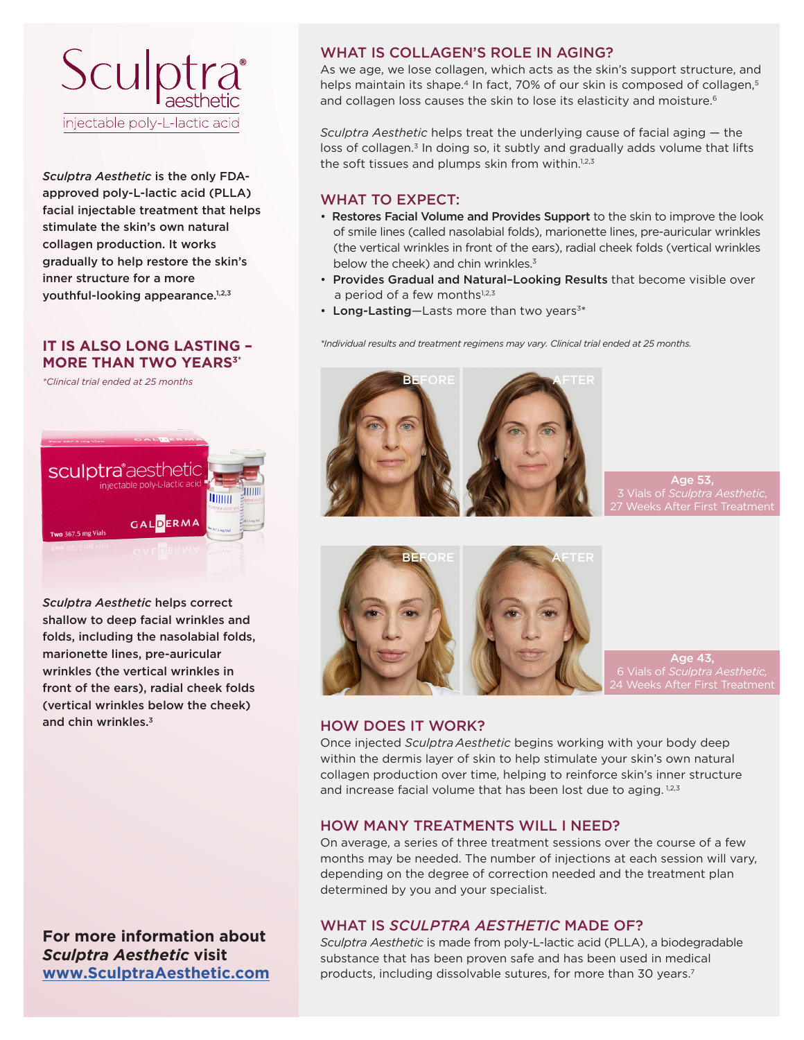

*Sculptra Aesthetic* is the only FDAapproved poly-L-lactic acid (PLLA) facial injectable treatment that helps stimulate the skin's own natural collagen production. It works gradually to help restore the skin's inner structure for a more youthful-looking appearance.1,2,3

# **IT IS ALSO LONG LASTING – MORE THAN TWO YEARS<sup>3\*</sup>**

*\*Clinical trial ended at 25 months*



*Sculptra Aesthetic* helps correct shallow to deep facial wrinkles and folds, including the nasolabial folds, marionette lines, pre-auricular wrinkles (the vertical wrinkles in front of the ears), radial cheek folds (vertical wrinkles below the cheek) and chin wrinkles.<sup>3</sup>

**For more information about** *Sculptra Aesthetic* **visit www.SculptraAesthetic.com**

## WHAT IS COLLAGEN'S ROLE IN AGING?

As we age, we lose collagen, which acts as the skin's support structure, and helps maintain its shape.<sup>4</sup> In fact, 70% of our skin is composed of collagen,<sup>5</sup> and collagen loss causes the skin to lose its elasticity and moisture.<sup>6</sup>

*Sculptra Aesthetic* helps treat the underlying cause of facial aging — the loss of collagen.<sup>3</sup> In doing so, it subtly and gradually adds volume that lifts the soft tissues and plumps skin from within.<sup>1,2,3</sup>

## WHAT TO EXPECT:

- Restores Facial Volume and Provides Support to the skin to improve the look of smile lines (called nasolabial folds), marionette lines, pre-auricular wrinkles (the vertical wrinkles in front of the ears), radial cheek folds (vertical wrinkles below the cheek) and chin wrinkles.<sup>3</sup>
- Provides Gradual and Natural–Looking Results that become visible over a period of a few months $1,2,3$
- Long-Lasting-Lasts more than two years<sup>3\*</sup>

*\*Individual results and treatment regimens may vary. Clinical trial ended at 25 months.*



Age 53,  $\kappa$ s After First Treatmen



Age 43, 24 Weeks After First Treatment

#### HOW DOES IT WORK?

Once injected *Sculptra Aesthetic* begins working with your body deep within the dermis layer of skin to help stimulate your skin's own natural collagen production over time, helping to reinforce skin's inner structure and increase facial volume that has been lost due to aging.  $1,2,3$ 

#### HOW MANY TREATMENTS WILL I NEED?

On average, a series of three treatment sessions over the course of a few months may be needed. The number of injections at each session will vary, depending on the degree of correction needed and the treatment plan determined by you and your specialist.

## WHAT IS *SCULPTRA AESTHETIC* MADE OF?

*Sculptra Aesthetic* is made from poly-L-lactic acid (PLLA), a biodegradable substance that has been proven safe and has been used in medical products, including dissolvable sutures, for more than 30 years.<sup>7</sup>